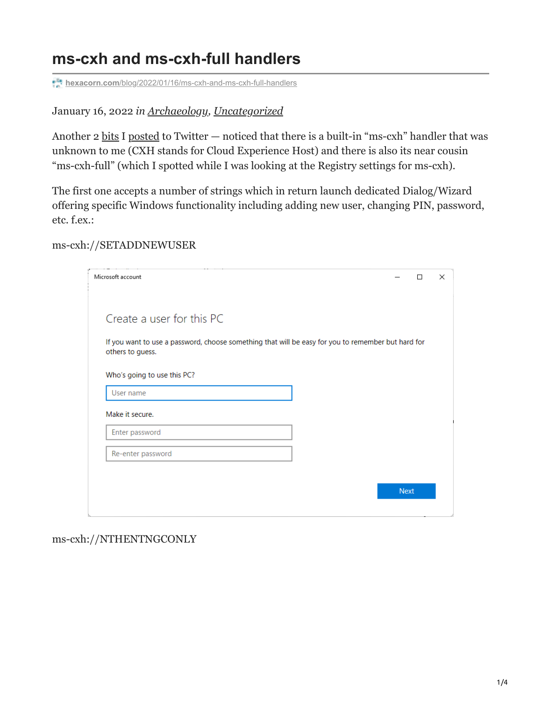## **ms-cxh and ms-cxh-full handlers**

**hexacorn.com**[/blog/2022/01/16/ms-cxh-and-ms-cxh-full-handlers](https://www.hexacorn.com/blog/2022/01/16/ms-cxh-and-ms-cxh-full-handlers/)

January 16, 2022 *in [Archaeology,](https://www.hexacorn.com/blog/category/archaeology/) [Uncategorized](https://www.hexacorn.com/blog/category/uncategorized/)*

Another 2 [bits](https://twitter.com/Hexacorn/status/1482124987276439553) I [posted](https://twitter.com/Hexacorn/status/1482125896773472256) to Twitter — noticed that there is a built-in "ms-cxh" handler that was unknown to me (CXH stands for Cloud Experience Host) and there is also its near cousin "ms-cxh-full" (which I spotted while I was looking at the Registry settings for ms-cxh).

The first one accepts a number of strings which in return launch dedicated Dialog/Wizard offering specific Windows functionality including adding new user, changing PIN, password, etc. f.ex.:

ms-cxh://SETADDNEWUSER

| Microsoft account                                                                                                      |             | $\times$<br>□ |
|------------------------------------------------------------------------------------------------------------------------|-------------|---------------|
| Create a user for this PC                                                                                              |             |               |
| If you want to use a password, choose something that will be easy for you to remember but hard for<br>others to guess. |             |               |
| Who's going to use this PC?                                                                                            |             |               |
| User name                                                                                                              |             |               |
| Make it secure.                                                                                                        |             |               |
| Enter password                                                                                                         |             |               |
| Re-enter password                                                                                                      |             |               |
|                                                                                                                        |             |               |
|                                                                                                                        | <b>Next</b> |               |
|                                                                                                                        |             |               |

ms-cxh://NTHENTNGCONLY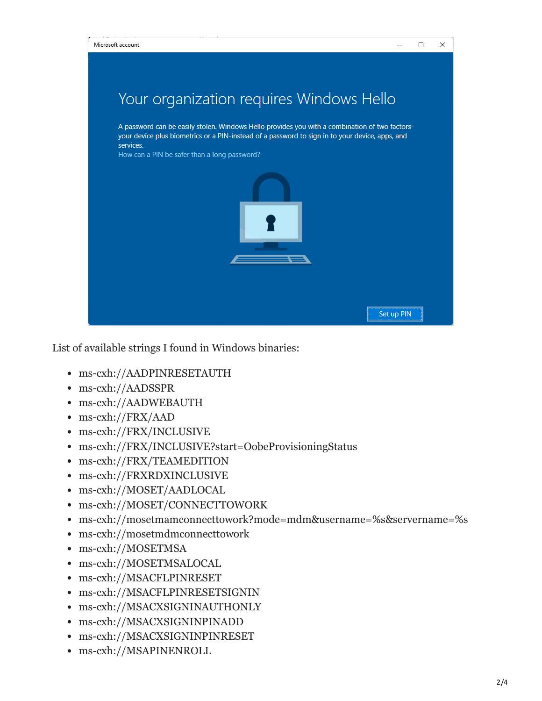

List of available strings I found in Windows binaries:

- ms-cxh://AADPINRESETAUTH
- ms-cxh://AADSSPR
- ms-cxh://AADWEBAUTH
- ms-cxh://FRX/AAD
- ms-cxh://FRX/INCLUSIVE
- ms-cxh://FRX/INCLUSIVE?start=OobeProvisioningStatus
- ms-cxh://FRX/TEAMEDITION
- ms-cxh://FRXRDXINCLUSIVE
- ms-cxh://MOSET/AADLOCAL
- ms-cxh://MOSET/CONNECTTOWORK
- ms-cxh://mosetmamconnecttowork?mode=mdm&username=%s&servername=%s
- ms-cxh://mosetmdmconnecttowork
- ms-cxh://MOSETMSA
- ms-cxh://MOSETMSALOCAL
- ms-cxh://MSACFLPINRESET
- ms-cxh://MSACFLPINRESETSIGNIN
- ms-cxh://MSACXSIGNINAUTHONLY
- ms-cxh://MSACXSIGNINPINADD
- ms-cxh://MSACXSIGNINPINRESET
- ms-cxh://MSAPINENROLL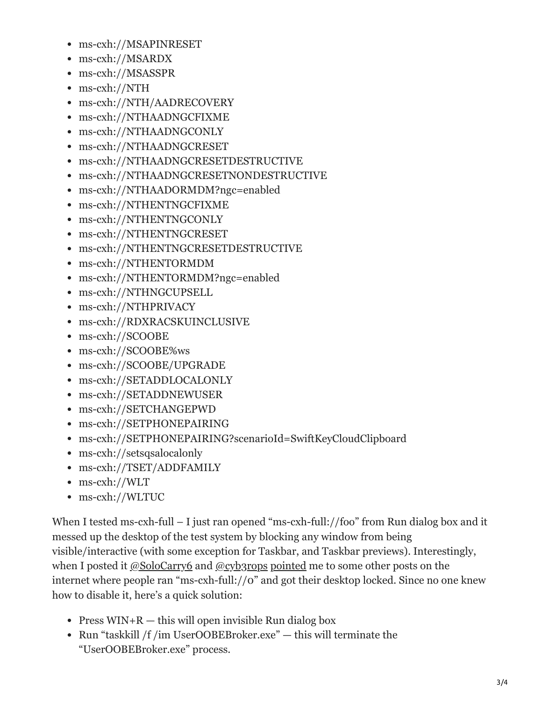- ms-cxh://MSAPINRESET
- ms-cxh://MSARDX
- ms-cxh://MSASSPR
- ms-cxh://NTH
- ms-cxh://NTH/AADRECOVERY
- ms-cxh://NTHAADNGCFIXME
- ms-cxh://NTHAADNGCONLY
- ms-cxh://NTHAADNGCRESET
- ms-cxh://NTHAADNGCRESETDESTRUCTIVE
- ms-cxh://NTHAADNGCRESETNONDESTRUCTIVE
- ms-cxh://NTHAADORMDM?ngc=enabled
- ms-cxh://NTHENTNGCFIXME
- ms-cxh://NTHENTNGCONLY
- ms-cxh://NTHENTNGCRESET
- ms-cxh://NTHENTNGCRESETDESTRUCTIVE
- ms-cxh://NTHENTORMDM
- ms-cxh://NTHENTORMDM?ngc=enabled
- ms-cxh://NTHNGCUPSELL
- ms-cxh://NTHPRIVACY
- ms-cxh://RDXRACSKUINCLUSIVE
- ms-cxh://SCOOBE
- ms-cxh://SCOOBE%ws
- ms-cxh://SCOOBE/UPGRADE
- ms-cxh://SETADDLOCALONLY
- ms-cxh://SETADDNEWUSER
- ms-cxh://SETCHANGEPWD
- ms-cxh://SETPHONEPAIRING
- ms-cxh://SETPHONEPAIRING?scenarioId=SwiftKeyCloudClipboard
- ms-cxh://setsqsalocalonly
- ms-cxh://TSET/ADDFAMILY
- ms-cxh://WLT
- ms-cxh://WLTUC

When I tested ms-cxh-full – I just ran opened "ms-cxh-full://foo" from Run dialog box and it messed up the desktop of the test system by blocking any window from being visible/interactive (with some exception for Taskbar, and Taskbar previews). Interestingly, when I posted it  $@SoloCarry6$  and  $@cyb3rops$  [pointed](https://answers.microsoft.com/en-us/windows/forum/all/my-laptop-shows-a-black-screen-and-wont-load/8615b723-c9a7-430b-91da-1bc3b76f7f4d) me to some other posts on the internet where people ran "ms-cxh-full://0" and got their desktop locked. Since no one knew how to disable it, here's a quick solution:

- Press  $WIN+R$  this will open invisible Run dialog box
- Run "taskkill /f /im UserOOBEBroker.exe" this will terminate the "UserOOBEBroker.exe" process.